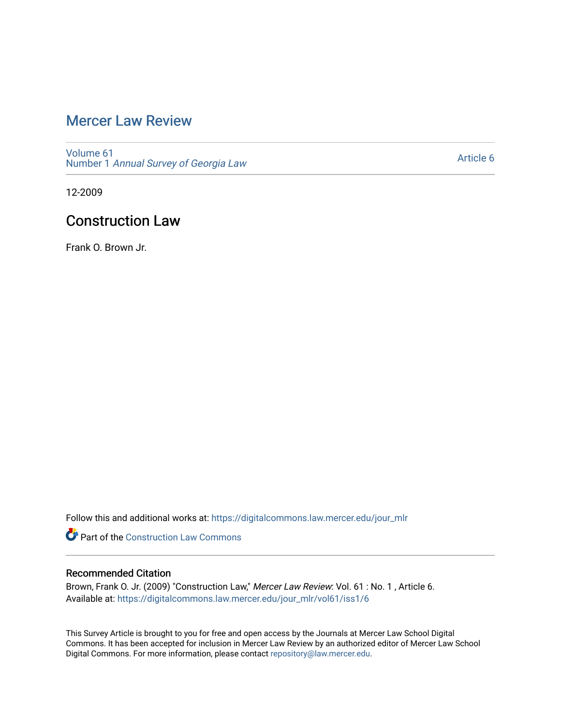# [Mercer Law Review](https://digitalcommons.law.mercer.edu/jour_mlr)

[Volume 61](https://digitalcommons.law.mercer.edu/jour_mlr/vol61) Number 1 [Annual Survey of Georgia Law](https://digitalcommons.law.mercer.edu/jour_mlr/vol61/iss1) 

[Article 6](https://digitalcommons.law.mercer.edu/jour_mlr/vol61/iss1/6) 

12-2009

# Construction Law

Frank O. Brown Jr.

Follow this and additional works at: [https://digitalcommons.law.mercer.edu/jour\\_mlr](https://digitalcommons.law.mercer.edu/jour_mlr?utm_source=digitalcommons.law.mercer.edu%2Fjour_mlr%2Fvol61%2Fiss1%2F6&utm_medium=PDF&utm_campaign=PDFCoverPages)

**Part of the Construction Law Commons** 

### Recommended Citation

Brown, Frank O. Jr. (2009) "Construction Law," Mercer Law Review: Vol. 61: No. 1, Article 6. Available at: [https://digitalcommons.law.mercer.edu/jour\\_mlr/vol61/iss1/6](https://digitalcommons.law.mercer.edu/jour_mlr/vol61/iss1/6?utm_source=digitalcommons.law.mercer.edu%2Fjour_mlr%2Fvol61%2Fiss1%2F6&utm_medium=PDF&utm_campaign=PDFCoverPages)

This Survey Article is brought to you for free and open access by the Journals at Mercer Law School Digital Commons. It has been accepted for inclusion in Mercer Law Review by an authorized editor of Mercer Law School Digital Commons. For more information, please contact [repository@law.mercer.edu](mailto:repository@law.mercer.edu).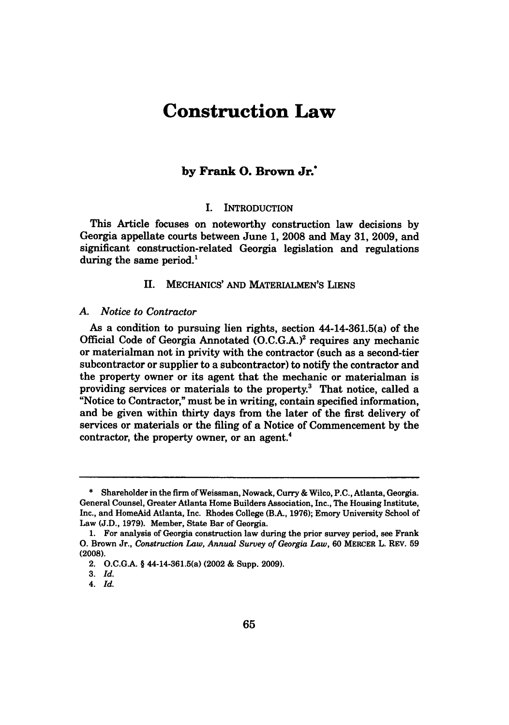# **Construction Law**

## **by** Frank **0.** Brown Jr.\*

#### **I.** INTRODUCTION

This Article focuses on noteworthy construction law decisions **by** Georgia appellate courts between June **1, 2008** and May **31, 2009,** and significant construction-related Georgia legislation and regulations during the same period. $<sup>1</sup>$ </sup>

**II. MECHANICS' AND** MATERIALMEN'S LIENS

#### *A. Notice to Contractor*

As a condition to pursuing **lien** rights, section 44-14-361.5(a) of the Official Code of Georgia Annotated **(O.C.G.A.) <sup>2</sup>**requires any mechanic or materialman not in privity with the contractor (such as a second-tier subcontractor or supplier to a subcontractor) to notify the contractor and the property owner or its agent that the mechanic or materialman is providing services or materials to the property.3 That notice, called a "Notice to Contractor," must be in writing, contain specified information, and be given within thirty days from the later of the first delivery of services or materials or the filing of a Notice of Commencement **by** the contractor, the property owner, or an agent.<sup>4</sup>

**<sup>\*</sup>** Shareholder in the firm ofWeissman, Nowack, Curry **&** Wilco, **P.C.,** Atlanta, Georgia. General Counsel, Greater Atlanta Home Builders Association, Inc., The Housing Institute, Inc., and HomeAid Atlanta, Inc. Rhodes College **(B.A., 1976);** Emory University School of Law **(J.D., 1979).** Member, State Bar of Georgia.

**<sup>1.</sup>** For analysis of Georgia construction law during the prior survey period, see Frank **0.** Brown Jr., *Construction Law, Annual Survey of Georgia Law,* **60** MERCER L. REV. **59 (2008).**

<sup>2.</sup> **O.C.G.A.** § 44-14-361.5(a) (2002 **&** Supp. **2009).**

**<sup>3.</sup>** *Id.*

*<sup>4.</sup> Id.*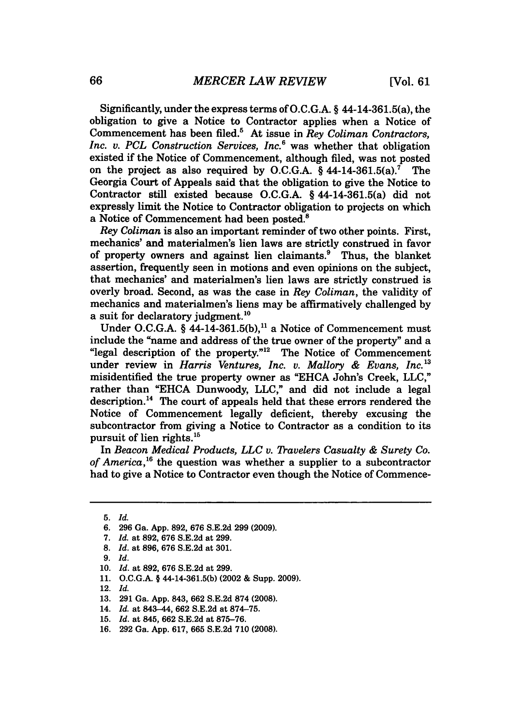Significantly, under the express terms of O.C.G.A. § 44-14-361.5(a), the obligation to give a Notice to Contractor applies when a Notice of Commencement has been filed.5 At issue in *Rey Coliman Contractors, Inc. v. PCL Construction Services, Inc.6* was whether that obligation existed if the Notice of Commencement, although filed, was not posted on the project as also required by O.C.G.A.  $§$  44-14-361.5(a).<sup>7</sup> The Georgia Court of Appeals said that the obligation to give the Notice to Contractor still existed because O.C.G.A. § 44-14-361.5(a) did not expressly limit the Notice to Contractor obligation to projects on which a Notice of Commencement had been posted.'

*Rey Coliman* is also an important reminder of two other points. First, mechanics' and materialmen's lien laws are strictly construed in favor of property owners and against lien claimants.<sup>9</sup> Thus, the blanket assertion, frequently seen in motions and even opinions on the subject, that mechanics' and materialmen's lien laws are strictly construed is overly broad. Second, as was the case in *Rey Coliman,* the validity of mechanics and materialmen's liens may be affirmatively challenged by a suit for declaratory judgment.<sup>10</sup>

Under O.C.G.A.  $\S$  44-14-361.5(b),<sup>11</sup> a Notice of Commencement must include the "name and address of the true owner of the property" and a "legal description of the property."<sup>12</sup> The Notice of Commencement under review in *Harris Ventures, Inc. v. Mallory & Evans, Inc.13* misidentified the true property owner as "EHCA John's Creek, LLC," rather than "EHCA Dunwoody, LLC," and did not include a legal description.<sup>14</sup> The court of appeals held that these errors rendered the Notice of Commencement legally deficient, thereby excusing the subcontractor from giving a Notice to Contractor as a condition to its pursuit of lien rights.<sup>15</sup>

In *Beacon Medical Products, LLC v. Travelers Casualty & Surety Co.* of America,<sup>16</sup> the question was whether a supplier to a subcontractor had to give a Notice to Contractor even though the Notice of Commence-

**<sup>5.</sup>** *Id.*

<sup>6. 296</sup> Ga. App. 892, 676 S.E.2d 299 (2009).

<sup>7.</sup> *Id.* at 892, 676 S.E.2d at 299.

<sup>8.</sup> *Id.* at 896, 676 S.E.2d at 301.

**<sup>9.</sup>** *Id.*

<sup>10.</sup> *Id.* at 892, 676 S.E.2d at 299.

<sup>11.</sup> O.C.G.A. **§** 44-14-361.5(b) (2002 & Supp. 2009).

<sup>12.</sup> *Id.*

<sup>13. 291</sup> Ga. App. 843, 662 S.E.2d 874 (2008).

<sup>14.</sup> *Id.* at 843-44, 662 S.E.2d at 874-75.

<sup>15.</sup> *Id.* at 845, 662 S.E.2d at 875-76.

<sup>16. 292</sup> Ga. App. 617, 665 S.E.2d 710 (2008).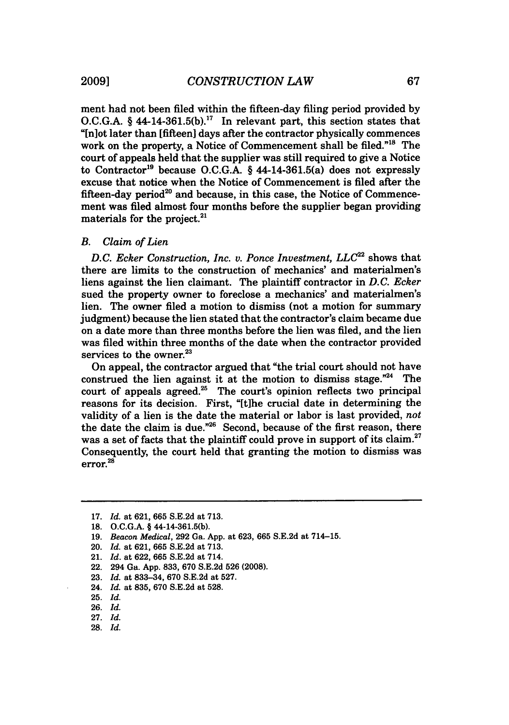ment had not been filed within the fifteen-day filing period provided by O.C.G.A. § 44-14-361.5(b).<sup>17</sup> In relevant part, this section states that "[n]ot later than [fifteen] days after the contractor physically commences work on the property, a Notice of Commencement shall be filed."<sup>18</sup> The court of appeals held that the supplier was still required to give a Notice to Contractor<sup>19</sup> because O.C.G.A. § 44-14-361.5(a) does not expressly excuse that notice when the Notice of Commencement is filed after the fifteen-day period<sup>20</sup> and because, in this case, the Notice of Commencement was filed almost four months before the supplier began providing materials for the project.<sup>2</sup>

#### *B. Claim of Lien*

*D.C. Ecker Construction, Inc. v. Ponce Investment, LLC2 <sup>2</sup>*shows that there are limits to the construction of mechanics' and materialmen's liens against the lien claimant. The plaintiff contractor in *D.C. Ecker* sued the property owner to foreclose a mechanics' and materialmen's lien. The owner filed a motion to dismiss (not a motion for summary judgment) because the lien stated that the contractor's claim became due on a date more than three months before the lien was filed, and the lien was filed within three months of the date when the contractor provided services to the owner. $23$ 

On appeal, the contractor argued that "the trial court should not have construed the lien against it at the motion to dismiss stage. $n<sup>24</sup>$  The court of appeals agreed.<sup>25</sup> The court's opinion reflects two principal reasons for its decision. First, **"[t]he** crucial date in determining the validity of a lien is the date the material or labor is last provided, *not* the date the claim is due."<sup>26</sup> Second, because of the first reason, there was a set of facts that the plaintiff could prove in support of its claim.<sup>27</sup> Consequently, the court held that granting the motion to dismiss was error. **2 8**

- 20. *Id.* at **621, 665 S.E.2d** at **713.**
- 21. *Id.* at **622, 665 S.E.2d** at 714.
- 22. 294 Ga. **App. 833, 670 S.E.2d 526 (2008).**
- **23.** *Id.* at **833-34, 670 S.E.2d** at **527.**
- 24. *Id.* at **835, 670 S.E.2d** at **528.**
- 25. *Id.*
- 26. *Id.*
- 27. *Id.*
- 28. *Id.*

**<sup>17.</sup>** *Id.* at **621, 665 S.E.2d** at **713.**

**<sup>18.</sup> O.C.G.A.** § 44-14-361.5(b).

**<sup>19.</sup>** *Beacon Medical,* **292** Ga. **App.** at **623, 665 S.E.2d** at 714-15.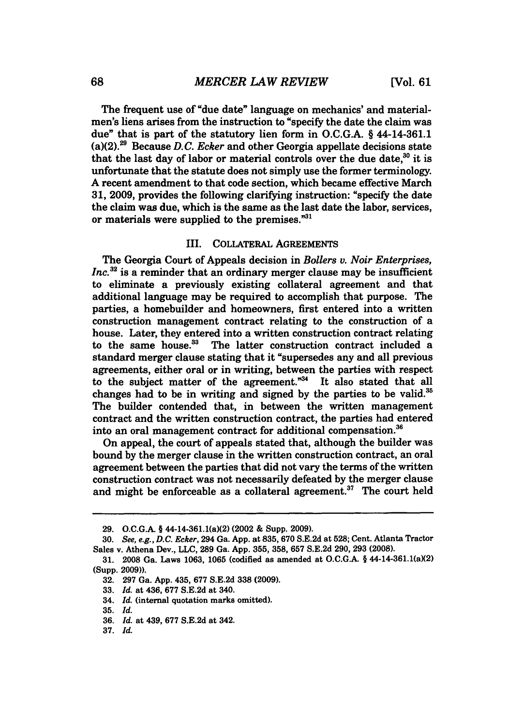The frequent use of "due date" language on mechanics' and materialmen's **liens** arises from the instruction to "specify the date the claim was due" that is part of the statutory lien form in **O.C.G.A.** § 44-14-361.1 (a)(2).29 Because *D.C. Ecker* and other Georgia appellate decisions state that the last day of labor or material controls over the due date, $30$  it is unfortunate that the statute does not simply use the former terminology. **A** recent amendment to that code section, which became effective March **31, 2009,** provides the following clarifying instruction: "specify the date the claim was due, which is the same as the last date the labor, services, or materials were supplied to the premises."<sup>31</sup>

#### III. COLLATERAL **AGREEMENTS**

The Georgia Court of Appeals decision in *Bolers v. Noir Enterprises, Inc.*<sup>32</sup> is a reminder that an ordinary merger clause may be insufficient to eliminate a previously existing collateral agreement and that additional language may be required to accomplish that purpose. The parties, a homebuilder and homeowners, first entered into a written construction management contract relating to the construction of a house. Later, they entered into a written construction contract relating to the same house. $33$  The latter construction contract included a standard merger clause stating that it "supersedes any and all previous agreements, either oral or in writing, between the parties with respect to the subject matter of the agreement."<sup>34</sup> It also stated that all changes had to be in writing and signed **by** the parties to be valid.35 The builder contended that, in between the written management contract and the written construction contract, the parties had entered into an oral management contract for additional compensation.<sup>36</sup>

On appeal, the court of appeals stated that, although the builder was bound **by** the merger clause in the written construction contract, an oral agreement between the parties that did not vary the terms of the written construction contract was not necessarily defeated **by** the merger clause and might be enforceable as a collateral agreement.<sup>37</sup> The court held

**<sup>29.</sup> O.C.G.A.** § 44-14-361.1(a)(2) (2002 & Supp. **2009).**

**<sup>30.</sup>** *See, e.g., D.C. Ecker,* 294 Ga. **App.** at **835, 670 S.E.2d** at **528;** Cent. Atlanta Tractor Sales v. Athena Dev., **LLC, 289** Ga. **App. 355, 358, 657 S.E.2d 290, 293 (2008).**

**<sup>31.</sup>** 2008 Ga. Laws **1063, 1065** (codified as amended at **O.C.G.A.** § 44-14-361.1(aX2) (Supp. **2009)).**

**<sup>32. 297</sup>** Ga. **App.** 435, **677 S.E.2d 338 (2009).**

**<sup>33.</sup>** *Id.* at 436, **677 S.E.2d** at 340.

<sup>34.</sup> *Id.* (internal quotation marks omitted).

<sup>35.</sup> *Id.*

<sup>36.</sup> *Id.* at 439, 677 S.E.2d at 342.

**<sup>37.</sup>** *Id.*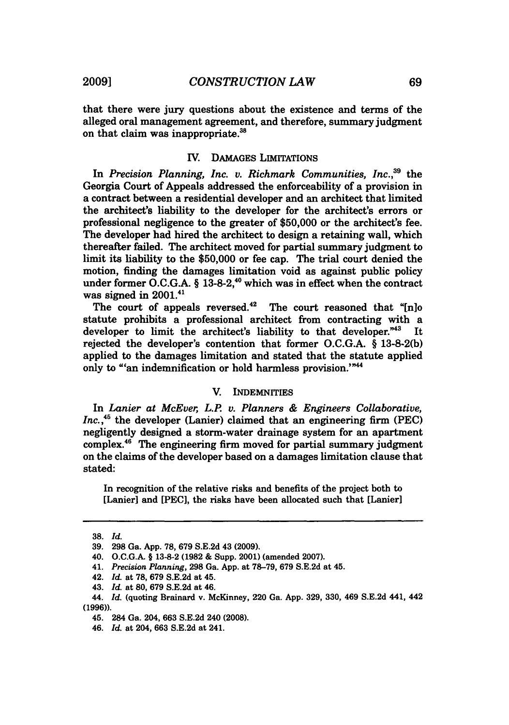that there were jury questions about the existence and terms of the alleged oral management agreement, and therefore, summary judgment on that claim was inappropriate. <sup>38</sup>

#### **V. DAMAGES** LIMITATIONS

In *Precision Planning, Inc. v. Richmark Communities, Inc.,39* the Georgia Court of Appeals addressed the enforceability of a provision in a contract between a residential developer and an architect that limited the architect's liability to the developer for the architect's errors or professional negligence to the greater of **\$50,000** or the architect's fee. The developer had hired the architect to design a retaining **wall,** which thereafter failed. The architect moved for partial summary judgment to limit its liability to the **\$50,000** or fee cap. The trial court denied the motion, finding the damages limitation void as against public policy under former O.C.G.A. § 13-8-2,<sup>40</sup> which was in effect when the contract was signed in  $2001.^{41}$ 

The court of appeals reversed. $42$  The court reasoned that "[n]o statute prohibits a professional architect from contracting with a developer to limit the architect's liability to that developer."43 It rejected the developer's contention that former **O.C.G.A. § 13-8-2(b)** applied to the damages limitation and stated that the statute applied only to "'an indemnification or hold harmless provision.'"<sup>44</sup>

#### V. INDEMNITIES

In *Lanier at McEver, L.P v. Planners & Engineers Collaborative, Inc.*,<sup>45</sup> the developer (Lanier) claimed that an engineering firm (PEC) negligently designed a storm-water drainage system for an apartment complex.48 The engineering firm moved for partial summary judgment on the claims of the developer based on a damages limitation clause that stated:

In recognition of the relative risks and benefits of the project both to [Lanier] and [PEC], the risks have been allocated such that [Lanier]

**<sup>38.</sup>** *Id.*

**<sup>39. 298</sup>** Ga. **App. 78, 679 S.E.2d** 43 **(2009).**

<sup>40.</sup> **O.C.G.A.** § **13-8-2 (1982 &** Supp. 2001) (amended **2007).**

<sup>41.</sup> *Precision Planning,* **298** Ga. **App.** at **78-79, 679 S.E.2d** at 45.

<sup>42.</sup> *Id.* at **78, 679 S.E.2d** at 45.

<sup>43.</sup> *Id.* at **80, 679 S.E.2d** at 46.

<sup>44.</sup> *Id.* (quoting Brainard v. McKinney, 220 Ga. **App. 329, 330,** 469 **S.E.2d** 441, 442 **(1996)).**

<sup>45. 284</sup> Ga. 204, **663 S.E.2d** 240 **(2008).**

<sup>46.</sup> *Id.* at 204, **663 S.E.2d** at 241.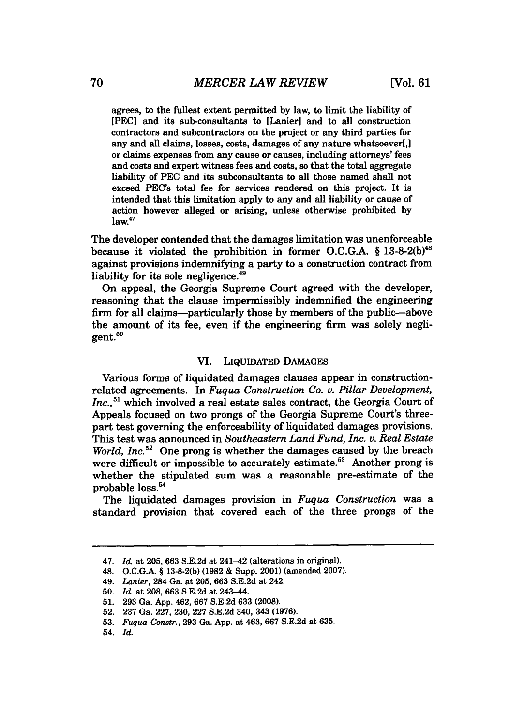agrees, to the fullest extent permitted by law, to limit the liability of [PEC] and its sub-consultants to [Lanier] and to all construction contractors and subcontractors on the project or any third parties for any and all claims, losses, costs, damages of any nature whatsoever[,] or claims expenses from any cause or causes, including attorneys' fees and costs and expert witness fees and costs, so that the total aggregate liability of PEC and its subconsultants to all those named shall not exceed PEC's total fee for services rendered on this project. It is intended that this limitation apply to any and all liability or cause of action however alleged or arising, unless otherwise prohibited by  $law<sup>47</sup>$ 

The developer contended that the damages limitation was unenforceable because it violated the prohibition in former O.C.G.A. § 13-8-2(b)<sup>48</sup> against provisions indemnifying a party to a construction contract from liability for its sole negligence. $49$ 

On appeal, the Georgia Supreme Court agreed with the developer, reasoning that the clause impermissibly indemnified the engineering firm for all claims--particularly those by members of the public--above the amount of its fee, even if the engineering firm was solely negligent.<sup>50</sup>

#### VI. LIQUIDATED DAMAGES

Various forms of liquidated damages clauses appear in constructionrelated agreements. In *Fuqua Construction Co. v. Pillar Development,* Inc.,<sup>51</sup> which involved a real estate sales contract, the Georgia Court of Appeals focused on two prongs of the Georgia Supreme Court's threepart test governing the enforceability of liquidated damages provisions. This test was announced in *Southeastern Land Fund, Inc. v. Real Estate World, Inc.*<sup>52</sup> One prong is whether the damages caused by the breach were difficult or impossible to accurately estimate.<sup>53</sup> Another prong is whether the stipulated sum was a reasonable pre-estimate of the probable loss.<sup>54</sup>

The liquidated damages provision in *Fuqua Construction* was a standard provision that covered each of the three prongs of the

<sup>47.</sup> *Id.* at **205, 663 S.E.2d** at 241-42 (alterations in original).

<sup>48.</sup> **O.C.G.A.** § **13-8-2(b) (1982 &** Supp. 2001) (amended **2007).**

<sup>49.</sup> *Lanier,* 284 Ga. at **205, 663 S.E.2d** at 242.

**<sup>50.</sup>** *Id.* at **208, 663 S.E.2d** at 243-44.

**<sup>51. 293</sup>** Ga. **App.** 462, **667 S.E.2d 633 (2008).**

**<sup>52. 237</sup>** Ga. **227, 230, 227 S.E.2d** 340, 343 **(1976).**

**<sup>53.</sup>** *Fuqua Constr.,* **293** Ga. **App.** at 463, **667 S.E.2d** at **635.**

<sup>54.</sup> *Id.*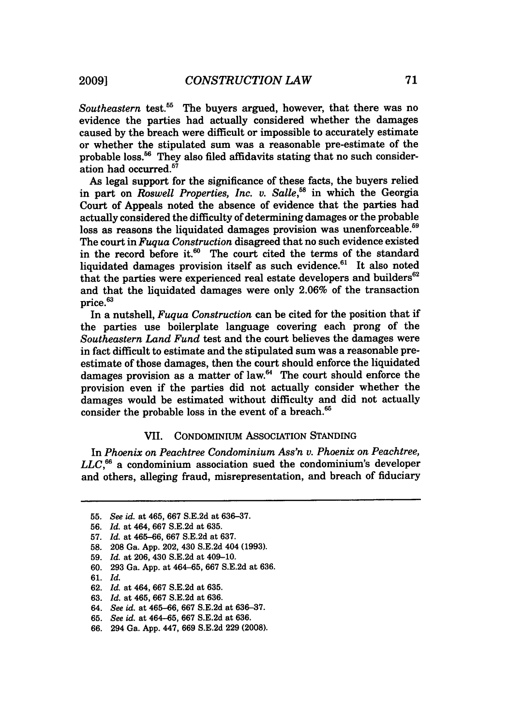*Southeastern* test.<sup>55</sup> The buyers argued, however, that there was no evidence the parties had actually considered whether the damages caused by the breach were difficult or impossible to accurately estimate or whether the stipulated sum was a reasonable pre-estimate of the probable loss.<sup>56</sup> They also filed affidavits stating that no such consideration had occurred.<sup>57</sup>

As legal support for the significance of these facts, the buyers relied in part on *Roswell Properties, Inc. v. Salle*<sup>58</sup> in which the Georgia Court of Appeals noted the absence of evidence that the parties had actually considered the difficulty of determining damages or the probable loss as reasons the liquidated damages provision was unenforceable.<sup>59</sup> The court in *Fuqua Construction* disagreed that no such evidence existed in the record before it. $60$  The court cited the terms of the standard liquidated damages provision itself as such evidence.<sup>61</sup> It also noted that the parties were experienced real estate developers and builders $62$ and that the liquidated damages were only 2.06% of the transaction price.63

In a nutshell, *Fuqua Construction* can be cited for the position that if the parties use boilerplate language covering each prong of the *Southeastern Land Fund* test and the court believes the damages were in fact difficult to estimate and the stipulated sum was a reasonable preestimate of those damages, then the court should enforce the liquidated  $d$ amages provision as a matter of law. $<sup>64</sup>$  The court should enforce the</sup> provision even if the parties did not actually consider whether the damages would be estimated without difficulty and did not actually consider the probable loss in the event of a breach.'

#### VII. CONDOMINIUM ASSOCIATION STANDING

In *Phoenix on Peachtree Condominium Ass'n v. Phoenix on Peachtree, LLC,"6* a condominium association sued the condominium's developer and others, alleging fraud, misrepresentation, and breach of fiduciary

<sup>55.</sup> *See id.* at 465, 667 S.E.2d at 636-37.

<sup>56.</sup> *Id.* at 464, 667 S.E.2d at 635.

<sup>57.</sup> *Id.* at 465-66, 667 S.E.2d at 637.

<sup>58. 208</sup> Ga. App. 202, 430 S.E.2d 404 (1993).

<sup>59.</sup> *Id.* at 206, 430 S.E.2d at 409-10.

<sup>60. 293</sup> Ga. App. at 464-65, 667 S.E.2d at 636.

<sup>61.</sup> *Id.*

<sup>62.</sup> *Id.* at 464, 667 S.E.2d at 635.

<sup>63.</sup> *Id.* at 465, 667 S.E.2d at 636.

<sup>64.</sup> *See id.* at 465-66, 667 S.E.2d at 636-37.

<sup>65.</sup> *See id.* at 464-65, 667 S.E.2d at 636.

<sup>66. 294</sup> Ga. App. 447, 669 S.E.2d 229 (2008).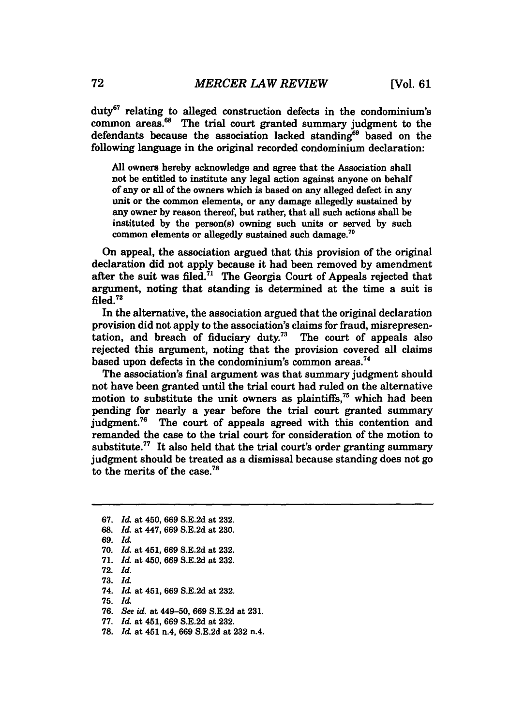duty67 relating to alleged construction defects in the condominium's common areas.<sup>68</sup> The trial court granted summary judgment to the defendants because the association lacked standing<sup>69</sup> based on the following language in the original recorded condominium declaration:

**All** owners hereby acknowledge and agree that the Association shall not be entitled to institute any legal action against anyone on behalf of any or all of the owners which is based on any alleged defect in any unit or the common elements, or any damage allegedly sustained by any owner by reason thereof, but rather, that all such actions shall be instituted by the person(s) owning such units or served by such common elements or allegedly sustained such damage.<sup>70</sup>

On appeal, the association argued that this provision of the original declaration did not apply because it had been removed by amendment after the suit was filed.<sup>71</sup> The Georgia Court of Appeals rejected that argument, noting that standing is determined at the time a suit is  $\overline{\text{field}}$ .  $^{72}$ 

In the alternative, the association argued that the original declaration provision did not apply to the association's claims for fraud, misrepresentation, and breach of fiduciary duty.<sup>73</sup> The court of appeals also rejected this argument, noting that the provision covered all claims based upon defects in the condominium's common areas.<sup>74</sup>

The association's final argument was that summary judgment should not have been granted until the trial court had ruled on the alternative motion to substitute the unit owners as plaintiffs, $75$  which had been pending for nearly a year before the trial court granted summary judgment.<sup>76</sup> The court of appeals agreed with this contention and remanded the case to the trial court for consideration of the motion to substitute.<sup>77</sup> It also held that the trial court's order granting summary judgment should be treated as a dismissal because standing does not go to the merits of the case.78

**67.** *Id.* at 450, **669 S.E.2d** at **232.**

**75.** *Id.*

**<sup>68.</sup>** *Id.* at 447, **669 S.E.2d** at **230.**

**<sup>69.</sup>** *Id.*

**<sup>70.</sup>** *Id.* at 451, **669 S.E.2d** at **232.**

**<sup>71.</sup>** *Id.* at 450, **669 S.E.2d** at **232.**

**<sup>72.</sup>** *Id.*

**<sup>73.</sup>** *Id.*

<sup>74.</sup> *Id.* at 451, **669 S.E.2d** at **232.**

**<sup>76.</sup>** *See id.* at 449-50, **669 S.E.2d** at **231.**

**<sup>77.</sup>** *Id.* at 451, **669 S.E.2d** at **232.**

**<sup>78.</sup>** *Id.* at 451 n.4, **669 S.E.2d** at **232 n.4.**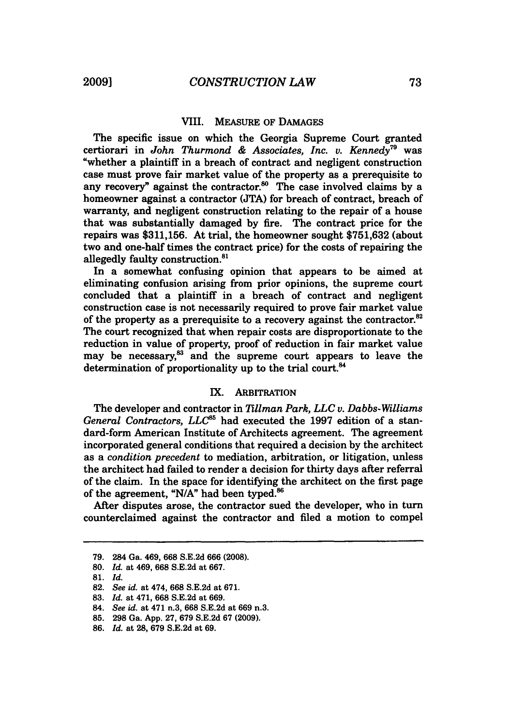#### VIII. MEASURE OF DAMAGES

The specific issue on which the Georgia Supreme Court granted certiorari in *John Thurmond & Associates, Inc. v. Kennedy79* was "whether a plaintiff in a breach of contract and negligent construction case must prove fair market value of the property as a prerequisite to any recovery" against the contractor.<sup>80</sup> The case involved claims by a homeowner against a contractor (JTA) for breach of contract, breach of warranty, and negligent construction relating to the repair of a house that was substantially damaged by fire. The contract price for the repairs was \$311,156. At trial, the homeowner sought \$751,632 (about two and one-half times the contract price) for the costs of repairing the allegedly faulty construction.<sup>81</sup>

In a somewhat confusing opinion that appears to be aimed at eliminating confusion arising from prior opinions, the supreme court concluded that a plaintiff in a breach of contract and negligent construction case is not necessarily required to prove fair market value of the property as a prerequisite to a recovery against the contractor.<sup>82</sup> The court recognized that when repair costs are disproportionate to the reduction in value of property, proof of reduction in fair market value may be necessary,<sup>83</sup> and the supreme court appears to leave the determination of proportionality up to the trial court.<sup>84</sup>

#### IX. ARBITRATION

The developer and contractor in *Tillman Park, LLC v. Dabbs-Williams* General Contractors, LLC<sup>65</sup> had executed the 1997 edition of a standard-form American Institute of Architects agreement. The agreement incorporated general conditions that required a decision by the architect as a *condition precedent* to mediation, arbitration, or litigation, unless the architect had failed to render a decision for thirty days after referral of the claim. In the space for identifying the architect on the first page of the agreement, **"N/A"** had been typed.'

After disputes arose, the contractor sued the developer, who in turn counterclaimed against the contractor and filed a motion to compel

<sup>79. 284</sup> Ga. 469, 668 S.E.2d 666 (2008).

<sup>80.</sup> *Id.* at 469, 668 S.E.2d at 667.

<sup>81.</sup> *Id.*

<sup>82.</sup> *See id.* at 474, 668 S.E.2d at 671.

<sup>83.</sup> *Id.* at 471, **668** S.E.2d at 669.

<sup>84.</sup> *See id.* at 471 n.3, 668 S.E.2d at 669 n.3.

**<sup>85.</sup>** 298 Ga. App. 27, 679 S.E.2d 67 (2009).

<sup>86.</sup> *Id.* at 28, **679** S.E.2d at 69.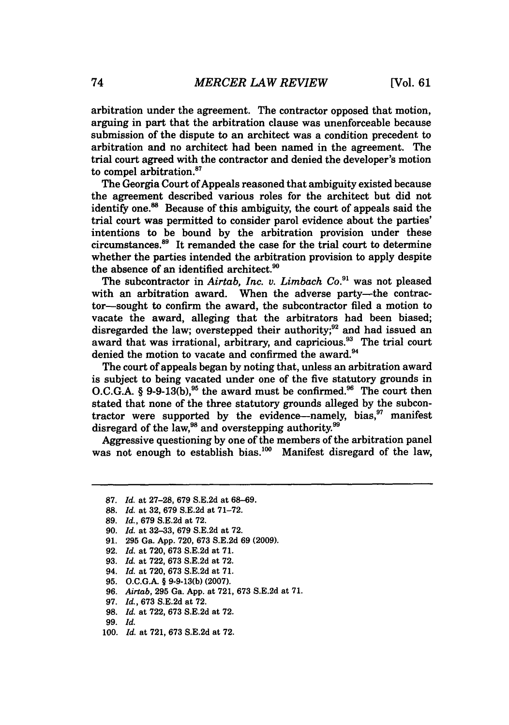arbitration under the agreement. The contractor opposed that motion, arguing in part that the arbitration clause was unenforceable because submission of the dispute to an architect was a condition precedent to arbitration and no architect had been named in the agreement. The trial court agreed with the contractor and denied the developer's motion to compel arbitration.<sup>87</sup>

The Georgia Court of Appeals reasoned that ambiguity existed because the agreement described various roles for the architect but did not identify one.<sup>88</sup> Because of this ambiguity, the court of appeals said the trial court was permitted to consider parol evidence about the parties' intentions to be bound by the arbitration provision under these circumstances.<sup>89</sup> It remanded the case for the trial court to determine whether the parties intended the arbitration provision to apply despite the absence of an identified architect.<sup>90</sup>

The subcontractor in *Airtab, Inc. v. Limbach Co.*<sup>91</sup> was not pleased with an arbitration award. When the adverse party-the contractor-sought to confirm the award, the subcontractor filed a motion to vacate the award, alleging that the arbitrators had been biased; disregarded the law; overstepped their authority;<sup>92</sup> and had issued an award that was irrational, arbitrary, and capricious.<sup>93</sup> The trial court denied the motion to vacate and confirmed the award.<sup>94</sup>

The court of appeals began by noting that, unless an arbitration award is subject to being vacated under one of the five statutory grounds in O.C.G.A. § 9-9-13(b),<sup>95</sup> the award must be confirmed.<sup>96</sup> The court then stated that none of the three statutory grounds alleged by the subcontractor were supported by the evidence—namely, bias, $^{37}$  manifest disregard of the law,<sup>98</sup> and overstepping authority.<sup>99</sup>

Aggressive questioning by one of the members of the arbitration panel was not enough to establish bias.<sup>100</sup> Manifest disregard of the law,

**<sup>87.</sup>** *Id.* at 27-28, 679 S.E.2d at 68-69.

**<sup>88.</sup>** *Id.* at 32, 679 S.E.2d at 71-72.

**<sup>89.</sup>** *Id.,* **679** S.E.2d at 72.

<sup>90.</sup> *Id.* at 32-33, 679 S.E.2d at 72.

<sup>91. 295</sup> Ga. App. 720, **673** S.E.2d 69 (2009).

<sup>92.</sup> *Id.* at 720, 673 S.E.2d at 71.

<sup>93.</sup> *Id.* at 722, 673 S.E.2d at 72.

<sup>94.</sup> *Id.* at 720, 673 S.E.2d at 71.

**<sup>95.</sup> O.C.G.A.** § **9-9-13(b) (2007).**

**<sup>96.</sup>** *Airtab,* **295** Ga. **App.** at **721, 673 S.E.2d** at **71.**

**<sup>97.</sup>** *Id.,* **673 S.E.2d** at **72.**

**<sup>98.</sup>** *Id.* at **722, 673 S.E.2d** at **72.**

**<sup>99.</sup>** Id.

**<sup>100.</sup>** *Id.* at **721, 673 S.E.2d** at **72.**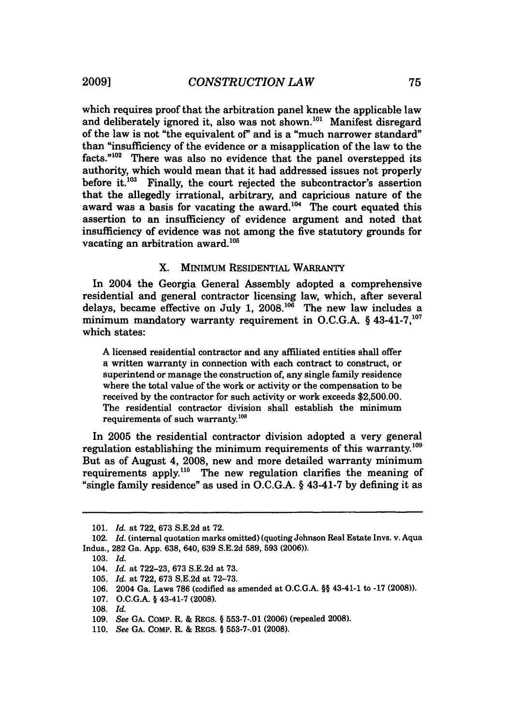which requires proof that the arbitration panel knew the applicable law and deliberately ignored it, also was not shown.<sup>101</sup> Manifest disregard of the law is not "the equivalent of" and is a "much narrower standard" than "insufficiency of the evidence or a misapplication of the law to the facts."<sup>102</sup> There was also no evidence that the panel overstepped its authority, which would mean that it had addressed issues not properly before it. $^{103}$  Finally, the court rejected the subcontractor's assertion that the allegedly irrational, arbitrary, and capricious nature of the award was a basis for vacating the award.<sup>104</sup> The court equated this assertion to an insufficiency of evidence argument and noted that insufficiency of evidence was not among the five statutory grounds for vacating an arbitration award. $105$ 

### X. MINIMUM RESIDENTIAL WARRANTY

In 2004 the Georgia General Assembly adopted a comprehensive residential and general contractor licensing law, which, after several delays, became effective on July 1,  $2008$ .<sup>106</sup> The new law includes a minimum mandatory warranty requirement in O.C.G.A. § 43-41-7.<sup>107</sup> which states:

A licensed residential contractor and any affiliated entities shall offer a written warranty in connection with each contract to construct, or superintend or manage the construction of, any single family residence where the total value of the work or activity or the compensation to be received by the contractor for such activity or work exceeds \$2,500.00. The residential contractor division shall establish the minimum requirements of such warranty.<sup>108</sup>

In 2005 the residential contractor division adopted a very general regulation establishing the minimum requirements of this warranty.<sup>109</sup> But as of August 4, 2008, new and more detailed warranty minimum requirements apply.<sup>110</sup> The new regulation clarifies the meaning of "single family residence" as used in **O.C.G.A.** § 43-41-7 **by** defining it as

**<sup>101.</sup>** *Id.* at **722, 673 S.E.2d** at **72.**

<sup>102.</sup> *Id.* (internal quotation marks omitted) (quoting Johnson Real Estate Invs. v. Aqua Indus., **282** Ga. **App. 638,** 640, **639 S.E.2d 589, 593 (2006)).**

**<sup>103.</sup>** *Id.*

<sup>104.</sup> *Id.* at **722-23, 673 S.E.2d** at **73.**

**<sup>105.</sup>** *Id.* at **722, 673 S.E.2d** at **72-73.**

**<sup>106.</sup>** 2004 Ga. Laws **786** (codified as amended at O.C.G.A. §§ 43-41-1 to **-17 (2008)).**

**<sup>107.</sup> O.C.G.A.** § 43-41-7 **(2008).**

<sup>108.</sup> *Id.*

**<sup>109.</sup>** *See* **GA.** COMP. R. **&** REGS. § **553-7-.01 (2006)** (repealed **2008).**

**<sup>110.</sup>** *See* **GA. CoMP.** R. & REGS. § **553-7-.01 (2008).**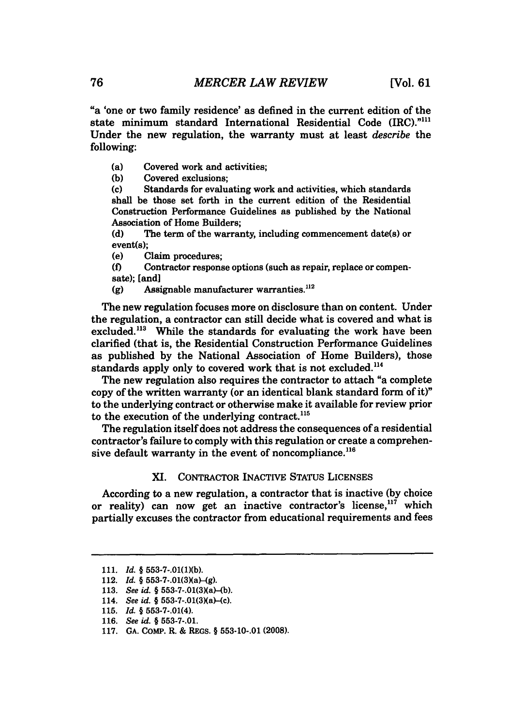"a 'one or two family residence' as defined in the current edition of the state minimum standard International Residential Code (IRC)."<sup>111</sup> Under the new regulation, the warranty must at least *describe* the following:

(a) Covered work and activities;<br>(b) Covered exclusions;

**(b)** Covered exclusions;

**(c)** Standards for evaluating work and activities, which standards shall be those set forth in the current edition of the Residential Construction Performance Guidelines as published **by** the National Association of Home Builders;

**(d)** The term of the warranty, including commencement date(s) or event(s);

(e) Claim procedures;

**(f)** Contractor response options (such as repair, replace or compensate); [and]

**(g)** Assignable manufacturer warranties."<sup>2</sup>

The new regulation focuses more on disclosure than on content. Under the regulation, a contractor can still decide what is covered and what is excluded.<sup>113</sup> While the standards for evaluating the work have been clarified (that is, the Residential Construction Performance Guidelines as published **by** the National Association of Home Builders), those standards apply only to covered work that is not excluded.<sup>114</sup>

The new regulation also requires the contractor to attach "a complete copy of the written warranty (or an identical blank standard form of it)" to the underlying contract or otherwise make it available for review prior to the execution of the underlying contract.<sup>115</sup>

The regulation itself does not address the consequences of a residential contractor's failure to comply with this regulation or create a comprehensive default warranty in the event of noncompliance. $^{116}$ 

### XI. CONTRACTOR INACTIVE STATUS **LICENSES**

According to a new regulation, a contractor that is inactive **(by** choice or reality) can now get an inactive contractor's license,  $117$  which partially excuses the contractor from educational requirements and fees

**<sup>111.</sup>** *Id. §* **553-7-.01(1)(b).**

<sup>112.</sup> *Id.* § 553-7-.01(3)(a)-(g).

<sup>113.</sup> *See id.* § 553-7-.01(3)(a)-(b).

<sup>114.</sup> *See id.* § 553-7-.01(3)(a)-(c).

**<sup>115.</sup>** *Id. §* **553-7-.01(4).**

<sup>116.</sup> *See id. §* **553-7-.01.**

**<sup>117.</sup> GA.** CoMP. R. **&** REGS. *§* **553-10-.01 (2008).**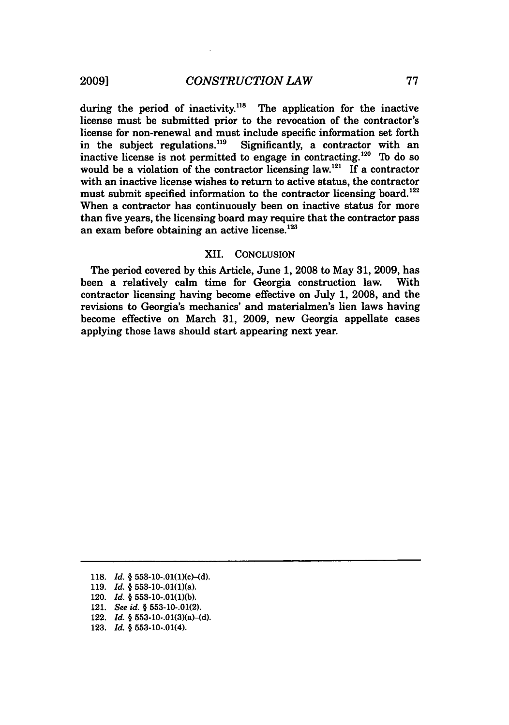during the period of inactivity.<sup>118</sup> The application for the inactive license must be submitted prior to the revocation of the contractor's license for non-renewal and must include specific information set forth<br>in the subject regulations.<sup>119</sup> Significantly, a contractor with an in the subject regulations. $^{119}$ inactive license is not permitted to engage in contracting.<sup>120</sup> To do so would be a violation of the contractor licensing law.<sup>121</sup> If a contractor with an inactive license wishes to return to active status, the contractor must submit specified information to the contractor licensing board.<sup>122</sup> When a contractor has continuously been on inactive status for more than five years, the licensing board may require that the contractor pass an exam before obtaining an active license.<sup>123</sup>

#### XII. CONCLUSION

The period covered by this Article, June **1,** 2008 to May 31, 2009, has been a relatively calm time for Georgia construction law. With contractor licensing having become effective on July 1, 2008, and the revisions to Georgia's mechanics' and materialmen's lien laws having become effective on March **31,** 2009, new Georgia appellate cases applying those laws should start appearing next year.

- 119. *Id.* § 553-10-.01(1)(a).
- 120. *Id.* § 553-10-.01(1)(b).
- 121. *See id.* § 553-10-.01(2).
- 122. *Id.* § 553-10-.01(3)(a)-(d).
- 123. *Id.* § 553-10-.01(4).

<sup>118.</sup> *Id.* § 553-10-.01(1)(c)-(d).